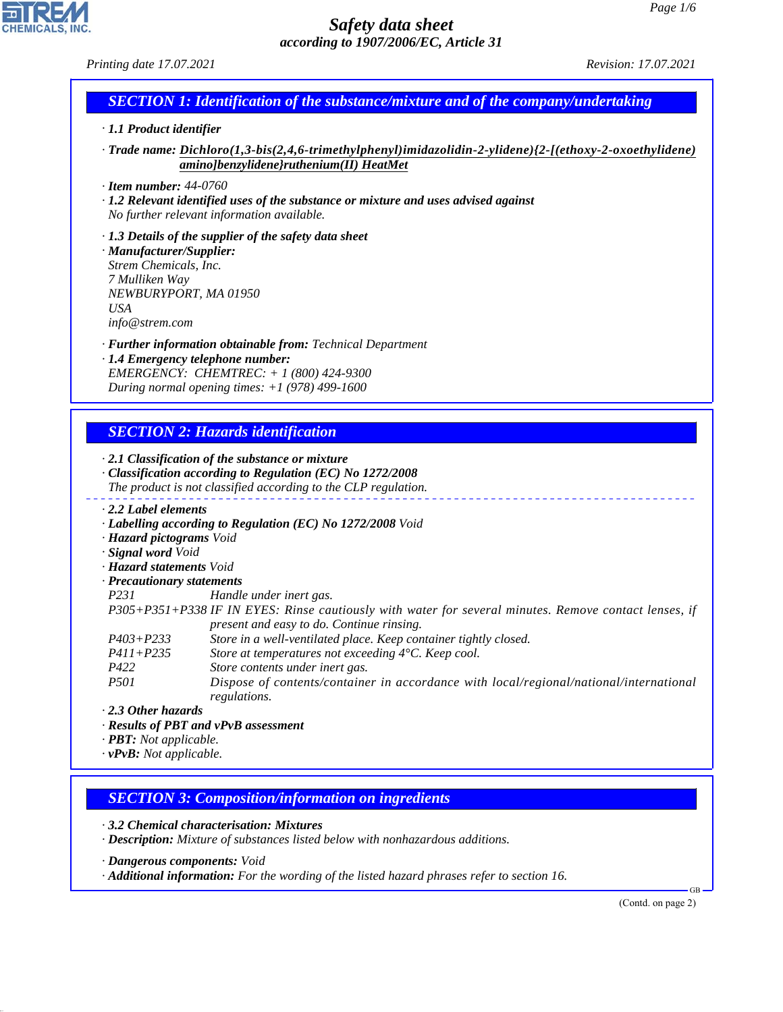*Printing date 17.07.2021 Revision: 17.07.2021*

# *SECTION 1: Identification of the substance/mixture and of the company/undertaking*

# *· 1.1 Product identifier*

*· Trade name: Dichloro(1,3-bis(2,4,6-trimethylphenyl)imidazolidin-2-ylidene){2-[(ethoxy-2-oxoethylidene) amino]benzylidene}ruthenium(II) HeatMet*

*· Item number: 44-0760*

*· 1.2 Relevant identified uses of the substance or mixture and uses advised against No further relevant information available.*

*· 1.3 Details of the supplier of the safety data sheet · Manufacturer/Supplier: Strem Chemicals, Inc. 7 Mulliken Way NEWBURYPORT, MA 01950 USA*

*info@strem.com*

*· Further information obtainable from: Technical Department · 1.4 Emergency telephone number: EMERGENCY: CHEMTREC: + 1 (800) 424-9300 During normal opening times: +1 (978) 499-1600*

# *SECTION 2: Hazards identification*

*· 2.1 Classification of the substance or mixture · Classification according to Regulation (EC) No 1272/2008 The product is not classified according to the CLP regulation.*

- *· 2.2 Label elements*
- *· Labelling according to Regulation (EC) No 1272/2008 Void*
- *· Hazard pictograms Void*
- *· Signal word Void*
- *· Hazard statements Void*
- *· Precautionary statements*

*P231 Handle under inert gas.*

*P305+P351+P338 IF IN EYES: Rinse cautiously with water for several minutes. Remove contact lenses, if present and easy to do. Continue rinsing.*

- *P403+P233 Store in a well-ventilated place. Keep container tightly closed.*
- *P411+P235 Store at temperatures not exceeding 4°C. Keep cool.*
- *P422 Store contents under inert gas.*
- *P501 Dispose of contents/container in accordance with local/regional/national/international regulations.*

#### *· 2.3 Other hazards*

44.1.1

- *· Results of PBT and vPvB assessment*
- *· PBT: Not applicable.*
- *· vPvB: Not applicable.*

### *SECTION 3: Composition/information on ingredients*

*· 3.2 Chemical characterisation: Mixtures*

*· Description: Mixture of substances listed below with nonhazardous additions.*

*· Dangerous components: Void*

*· Additional information: For the wording of the listed hazard phrases refer to section 16.*

(Contd. on page 2)

GB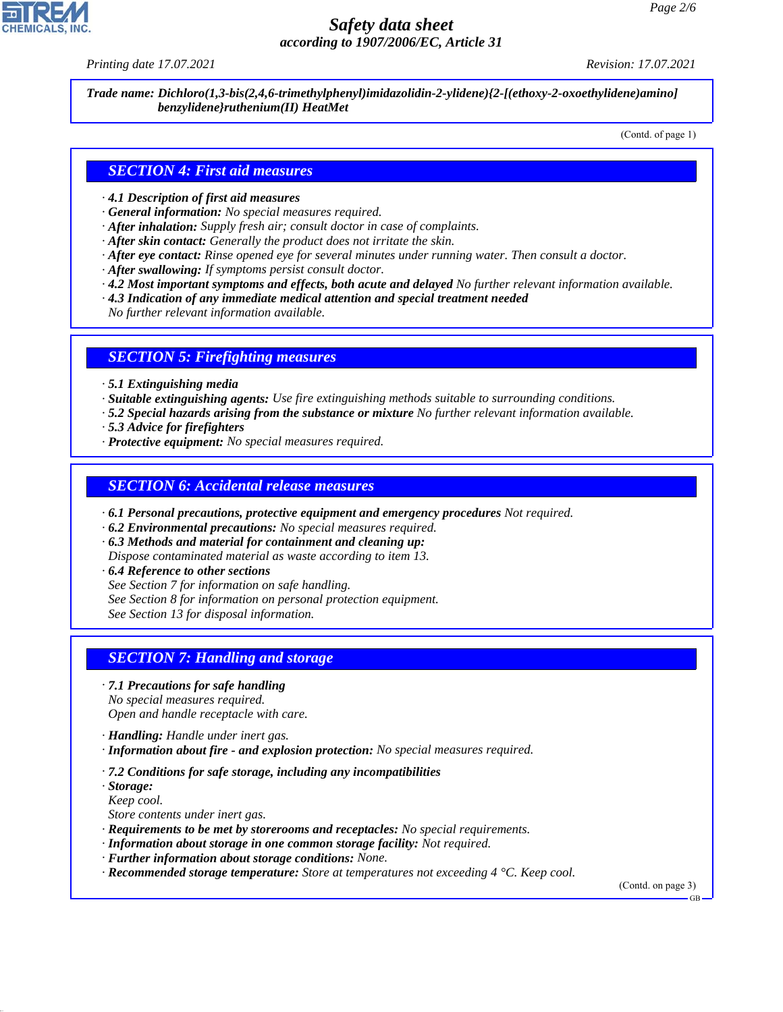*Printing date 17.07.2021 Revision: 17.07.2021*

*Trade name: Dichloro(1,3-bis(2,4,6-trimethylphenyl)imidazolidin-2-ylidene){2-[(ethoxy-2-oxoethylidene)amino] benzylidene}ruthenium(II) HeatMet*

(Contd. of page 1)

#### *SECTION 4: First aid measures*

- *· 4.1 Description of first aid measures*
- *· General information: No special measures required.*
- *· After inhalation: Supply fresh air; consult doctor in case of complaints.*
- *· After skin contact: Generally the product does not irritate the skin.*
- *· After eye contact: Rinse opened eye for several minutes under running water. Then consult a doctor.*
- *· After swallowing: If symptoms persist consult doctor.*
- *· 4.2 Most important symptoms and effects, both acute and delayed No further relevant information available.*
- *· 4.3 Indication of any immediate medical attention and special treatment needed*
- *No further relevant information available.*

#### *SECTION 5: Firefighting measures*

- *· 5.1 Extinguishing media*
- *· Suitable extinguishing agents: Use fire extinguishing methods suitable to surrounding conditions.*
- *· 5.2 Special hazards arising from the substance or mixture No further relevant information available.*
- *· 5.3 Advice for firefighters*
- *· Protective equipment: No special measures required.*

#### *SECTION 6: Accidental release measures*

- *· 6.1 Personal precautions, protective equipment and emergency procedures Not required.*
- *· 6.2 Environmental precautions: No special measures required.*
- *· 6.3 Methods and material for containment and cleaning up:*

*Dispose contaminated material as waste according to item 13.*

- *· 6.4 Reference to other sections*
- *See Section 7 for information on safe handling.*
- *See Section 8 for information on personal protection equipment.*

*See Section 13 for disposal information.*

### *SECTION 7: Handling and storage*

*· 7.1 Precautions for safe handling*

*No special measures required. Open and handle receptacle with care.*

*· Handling: Handle under inert gas.*

- *· Information about fire and explosion protection: No special measures required.*
- *· 7.2 Conditions for safe storage, including any incompatibilities*

*· Storage: Keep cool.*

44.1.1

*Store contents under inert gas.*

- *· Requirements to be met by storerooms and receptacles: No special requirements.*
- *· Information about storage in one common storage facility: Not required.*
- *· Further information about storage conditions: None.*
- *· Recommended storage temperature: Store at temperatures not exceeding 4 °C. Keep cool.*

(Contd. on page 3)

GB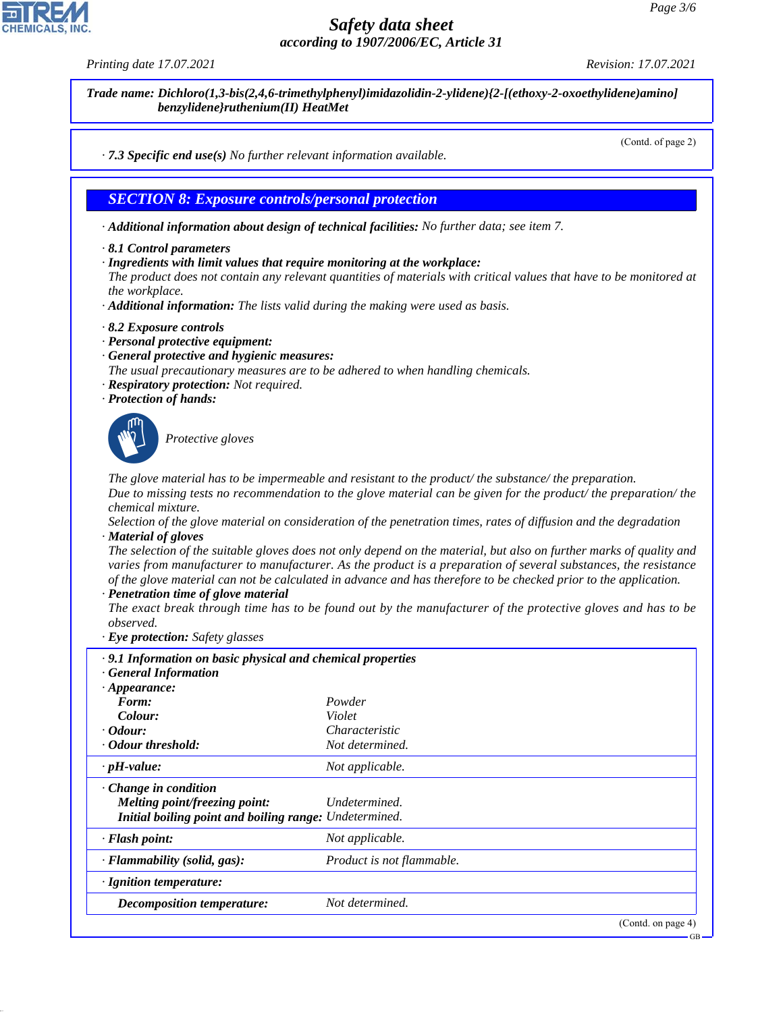

*Trade name: Dichloro(1,3-bis(2,4,6-trimethylphenyl)imidazolidin-2-ylidene){2-[(ethoxy-2-oxoethylidene)amino] benzylidene}ruthenium(II) HeatMet*

(Contd. of page 2)

*· 7.3 Specific end use(s) No further relevant information available.*

#### *SECTION 8: Exposure controls/personal protection*

- *· Additional information about design of technical facilities: No further data; see item 7.*
- *· 8.1 Control parameters*
- *· Ingredients with limit values that require monitoring at the workplace:*

*The product does not contain any relevant quantities of materials with critical values that have to be monitored at the workplace.*

- *· Additional information: The lists valid during the making were used as basis.*
- *· 8.2 Exposure controls*
- *· Personal protective equipment:*
- *· General protective and hygienic measures:*
- *The usual precautionary measures are to be adhered to when handling chemicals.*
- *· Respiratory protection: Not required.*
- *· Protection of hands:*



44.1.1

\_S*Protective gloves*

*The glove material has to be impermeable and resistant to the product/ the substance/ the preparation. Due to missing tests no recommendation to the glove material can be given for the product/ the preparation/ the chemical mixture.*

*Selection of the glove material on consideration of the penetration times, rates of diffusion and the degradation · Material of gloves*

*The selection of the suitable gloves does not only depend on the material, but also on further marks of quality and varies from manufacturer to manufacturer. As the product is a preparation of several substances, the resistance of the glove material can not be calculated in advance and has therefore to be checked prior to the application.*

*· Penetration time of glove material*

*The exact break through time has to be found out by the manufacturer of the protective gloves and has to be observed.*

*· Eye protection: Safety glasses*

| .9.1 Information on basic physical and chemical properties<br><b>General Information</b> |                           |                    |
|------------------------------------------------------------------------------------------|---------------------------|--------------------|
| $\cdot$ Appearance:                                                                      |                           |                    |
| Form:                                                                                    | Powder                    |                    |
| Colour:                                                                                  | Violet                    |                    |
| $\cdot$ Odour:                                                                           | Characteristic            |                    |
| • Odour threshold:                                                                       | Not determined.           |                    |
| $\cdot$ pH-value:                                                                        | Not applicable.           |                    |
| $\cdot$ Change in condition<br>Melting point/freezing point:                             | Undetermined.             |                    |
| Initial boiling point and boiling range: Undetermined.                                   |                           |                    |
| · Flash point:                                                                           | Not applicable.           |                    |
| $\cdot$ Flammability (solid, gas):                                                       | Product is not flammable. |                    |
| $\cdot$ Ignition temperature:                                                            |                           |                    |
| <b>Decomposition temperature:</b>                                                        | Not determined.           |                    |
|                                                                                          |                           | (Contd. on page 4) |

GB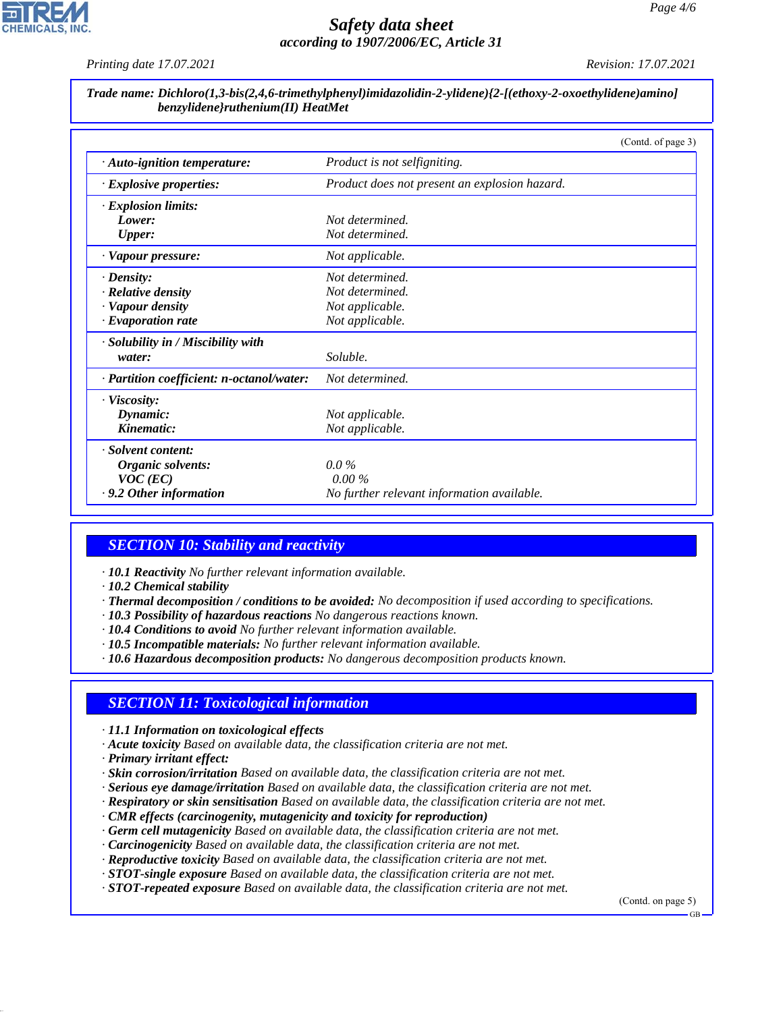

*Printing date 17.07.2021 Revision: 17.07.2021*

*Trade name: Dichloro(1,3-bis(2,4,6-trimethylphenyl)imidazolidin-2-ylidene){2-[(ethoxy-2-oxoethylidene)amino] benzylidene}ruthenium(II) HeatMet*

|                                           | (Contd. of page 3)                            |  |
|-------------------------------------------|-----------------------------------------------|--|
| $\cdot$ Auto-ignition temperature:        | Product is not selfigniting.                  |  |
| $\cdot$ Explosive properties:             | Product does not present an explosion hazard. |  |
| · Explosion limits:                       |                                               |  |
| Lower:                                    | Not determined.                               |  |
| <b>Upper:</b>                             | Not determined.                               |  |
| · Vapour pressure:                        | Not applicable.                               |  |
| $\cdot$ Density:                          | Not determined.                               |  |
| · Relative density                        | Not determined.                               |  |
| · Vapour density                          | Not applicable.                               |  |
| $\cdot$ Evaporation rate                  | Not applicable.                               |  |
| · Solubility in / Miscibility with        |                                               |  |
| water:                                    | Soluble.                                      |  |
| · Partition coefficient: n-octanol/water: | Not determined.                               |  |
| $\cdot$ Viscosity:                        |                                               |  |
| Dynamic:                                  | Not applicable.                               |  |
| Kinematic:                                | Not applicable.                               |  |
| · Solvent content:                        |                                               |  |
| Organic solvents:                         | $0.0\%$                                       |  |
| $VOC$ (EC)                                | $0.00\%$                                      |  |
| $\cdot$ 9.2 Other information             | No further relevant information available.    |  |

# *SECTION 10: Stability and reactivity*

*· 10.1 Reactivity No further relevant information available.*

*· 10.2 Chemical stability*

- *· Thermal decomposition / conditions to be avoided: No decomposition if used according to specifications.*
- *· 10.3 Possibility of hazardous reactions No dangerous reactions known.*
- *· 10.4 Conditions to avoid No further relevant information available.*
- *· 10.5 Incompatible materials: No further relevant information available.*
- *· 10.6 Hazardous decomposition products: No dangerous decomposition products known.*

### *SECTION 11: Toxicological information*

- *· 11.1 Information on toxicological effects*
- *· Acute toxicity Based on available data, the classification criteria are not met.*
- *· Primary irritant effect:*

44.1.1

- *· Skin corrosion/irritation Based on available data, the classification criteria are not met.*
- *· Serious eye damage/irritation Based on available data, the classification criteria are not met.*
- *· Respiratory or skin sensitisation Based on available data, the classification criteria are not met.*
- *· CMR effects (carcinogenity, mutagenicity and toxicity for reproduction)*
- *· Germ cell mutagenicity Based on available data, the classification criteria are not met.*
- *· Carcinogenicity Based on available data, the classification criteria are not met.*
- *· Reproductive toxicity Based on available data, the classification criteria are not met.*
- *· STOT-single exposure Based on available data, the classification criteria are not met.*
- *· STOT-repeated exposure Based on available data, the classification criteria are not met.*

(Contd. on page 5)

GB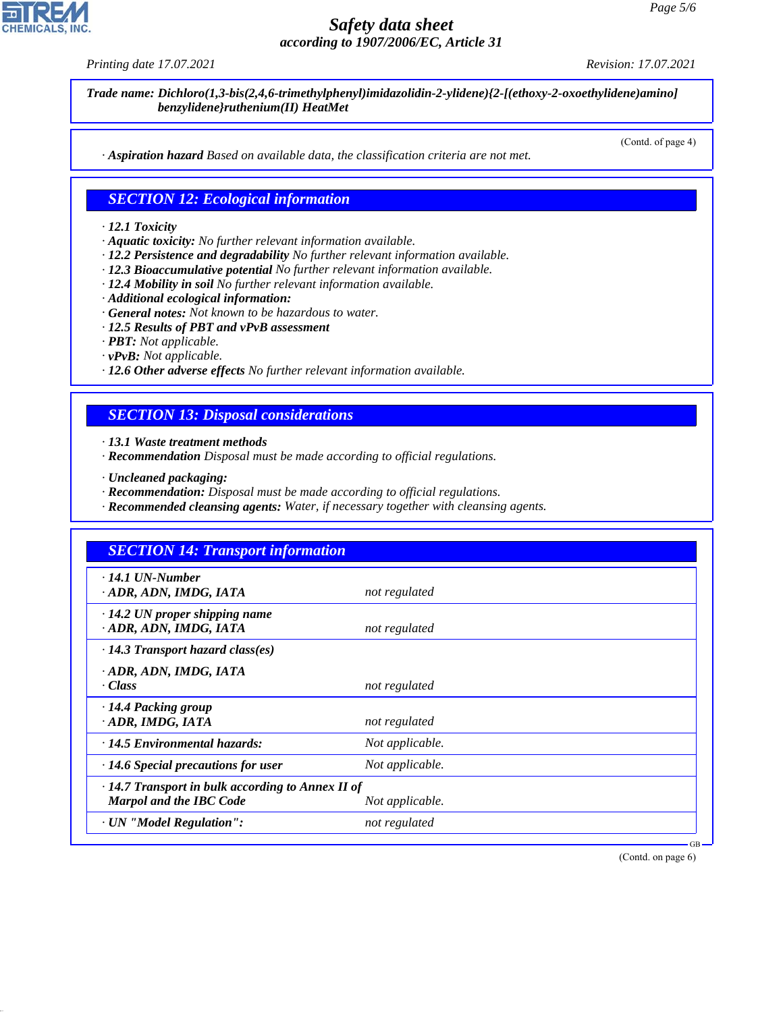44.1.1

# *Safety data sheet according to 1907/2006/EC, Article 31*

*Printing date 17.07.2021 Revision: 17.07.2021*

*Trade name: Dichloro(1,3-bis(2,4,6-trimethylphenyl)imidazolidin-2-ylidene){2-[(ethoxy-2-oxoethylidene)amino] benzylidene}ruthenium(II) HeatMet*

(Contd. of page 4)

*· Aspiration hazard Based on available data, the classification criteria are not met.*

#### *SECTION 12: Ecological information*

#### *· 12.1 Toxicity*

- *· Aquatic toxicity: No further relevant information available.*
- *· 12.2 Persistence and degradability No further relevant information available.*
- *· 12.3 Bioaccumulative potential No further relevant information available.*
- *· 12.4 Mobility in soil No further relevant information available.*
- *· Additional ecological information:*
- *· General notes: Not known to be hazardous to water.*
- *· 12.5 Results of PBT and vPvB assessment*
- *· PBT: Not applicable.*
- *· vPvB: Not applicable.*
- *· 12.6 Other adverse effects No further relevant information available.*

# *SECTION 13: Disposal considerations*

*· 13.1 Waste treatment methods*

- *· Recommendation Disposal must be made according to official regulations.*
- *· Uncleaned packaging:*
- *· Recommendation: Disposal must be made according to official regulations.*
- *· Recommended cleansing agents: Water, if necessary together with cleansing agents.*

| <b>SECTION 14: Transport information</b>                                           |                 |  |
|------------------------------------------------------------------------------------|-----------------|--|
| $\cdot$ 14.1 UN-Number<br>· ADR, ADN, IMDG, IATA                                   | not regulated   |  |
| $\cdot$ 14.2 UN proper shipping name<br>· ADR, ADN, IMDG, IATA                     | not regulated   |  |
| $\cdot$ 14.3 Transport hazard class(es)                                            |                 |  |
| · ADR, ADN, IMDG, IATA<br>· Class                                                  | not regulated   |  |
| · 14.4 Packing group<br>· ADR, IMDG, IATA                                          | not regulated   |  |
| $\cdot$ 14.5 Environmental hazards:                                                | Not applicable. |  |
| $\cdot$ 14.6 Special precautions for user                                          | Not applicable. |  |
| $\cdot$ 14.7 Transport in bulk according to Annex II of<br>Marpol and the IBC Code | Not applicable. |  |
| · UN "Model Regulation":                                                           | not regulated   |  |

(Contd. on page 6)

GB